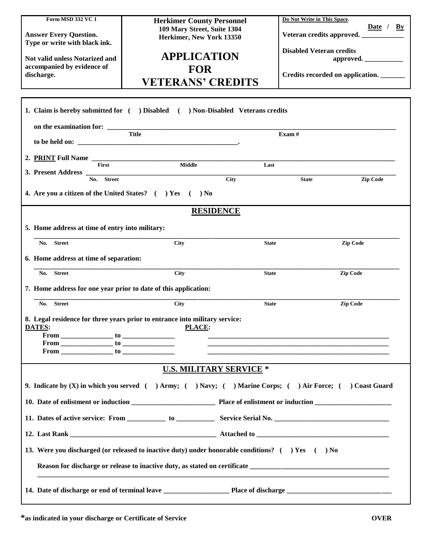| Form MSD 332 VC 1<br><b>Answer Every Question.</b><br>Type or write with black ink.<br><b>Not valid unless Notarized and</b><br>accompanied by evidence of<br>discharge. | <b>Herkimer County Personnel</b><br>109 Mary Street, Suite 1304<br>Herkimer, New York 13350<br><b>APPLICATION</b><br><b>FOR</b><br><b>VETERANS' CREDITS</b><br>1. Claim is hereby submitted for ( ) Disabled ( ) Non-Disabled Veterans credits |              | Do Not Write in This Space.<br>Date / $By$<br>Veteran credits approved. __________<br><b>Disabled Veteran credits</b><br>approved.<br>Credits recorded on application. |  |
|--------------------------------------------------------------------------------------------------------------------------------------------------------------------------|------------------------------------------------------------------------------------------------------------------------------------------------------------------------------------------------------------------------------------------------|--------------|------------------------------------------------------------------------------------------------------------------------------------------------------------------------|--|
|                                                                                                                                                                          | on the examination for: Title                                                                                                                                                                                                                  | Exam#        |                                                                                                                                                                        |  |
|                                                                                                                                                                          |                                                                                                                                                                                                                                                |              |                                                                                                                                                                        |  |
| 2. PRINT Full Name __                                                                                                                                                    |                                                                                                                                                                                                                                                |              |                                                                                                                                                                        |  |
| <b>First</b><br>3. Present Address $\frac{1}{\sqrt{N_0N_0}}$ Street                                                                                                      | Middle                                                                                                                                                                                                                                         | Last         |                                                                                                                                                                        |  |
|                                                                                                                                                                          | <b>City</b>                                                                                                                                                                                                                                    | <b>State</b> | <b>Zip Code</b>                                                                                                                                                        |  |
| 4. Are you a citizen of the United States? $($ $)$ Yes $($ $)$ No                                                                                                        |                                                                                                                                                                                                                                                |              |                                                                                                                                                                        |  |
| <b>RESIDENCE</b>                                                                                                                                                         |                                                                                                                                                                                                                                                |              |                                                                                                                                                                        |  |
| 5. Home address at time of entry into military:                                                                                                                          |                                                                                                                                                                                                                                                |              |                                                                                                                                                                        |  |
| No. Street                                                                                                                                                               | <b>City</b>                                                                                                                                                                                                                                    | <b>State</b> | Zip Code                                                                                                                                                               |  |
|                                                                                                                                                                          |                                                                                                                                                                                                                                                |              |                                                                                                                                                                        |  |
| 6. Home address at time of separation:                                                                                                                                   |                                                                                                                                                                                                                                                |              |                                                                                                                                                                        |  |
| No. Street                                                                                                                                                               | <b>City</b>                                                                                                                                                                                                                                    | <b>State</b> | <b>Zip Code</b>                                                                                                                                                        |  |
| 7. Home address for one year prior to date of this application:                                                                                                          |                                                                                                                                                                                                                                                |              |                                                                                                                                                                        |  |
| <b>Street</b><br>No.                                                                                                                                                     | City                                                                                                                                                                                                                                           | <b>State</b> | Zip Code                                                                                                                                                               |  |
| <b>DATES:</b><br>$From$ $to$                                                                                                                                             | 8. Legal residence for three years prior to entrance into military service:<br>PLACE:                                                                                                                                                          |              |                                                                                                                                                                        |  |
| <b>U.S. MILITARY SERVICE *</b>                                                                                                                                           |                                                                                                                                                                                                                                                |              |                                                                                                                                                                        |  |
| 9. Indicate by (X) in which you served ( ) Army; ( ) Navy; ( ) Marine Corps; ( ) Air Force; ( ) Coast Guard                                                              |                                                                                                                                                                                                                                                |              |                                                                                                                                                                        |  |
|                                                                                                                                                                          |                                                                                                                                                                                                                                                |              |                                                                                                                                                                        |  |
|                                                                                                                                                                          |                                                                                                                                                                                                                                                |              |                                                                                                                                                                        |  |
|                                                                                                                                                                          |                                                                                                                                                                                                                                                |              |                                                                                                                                                                        |  |
| 13. Were you discharged (or released to inactive duty) under honorable conditions? $($ $)$ Yes $($ $)$ No                                                                |                                                                                                                                                                                                                                                |              |                                                                                                                                                                        |  |
| Reason for discharge or release to inactive duty, as stated on certificate ___________________________________                                                           |                                                                                                                                                                                                                                                |              |                                                                                                                                                                        |  |
|                                                                                                                                                                          |                                                                                                                                                                                                                                                |              |                                                                                                                                                                        |  |